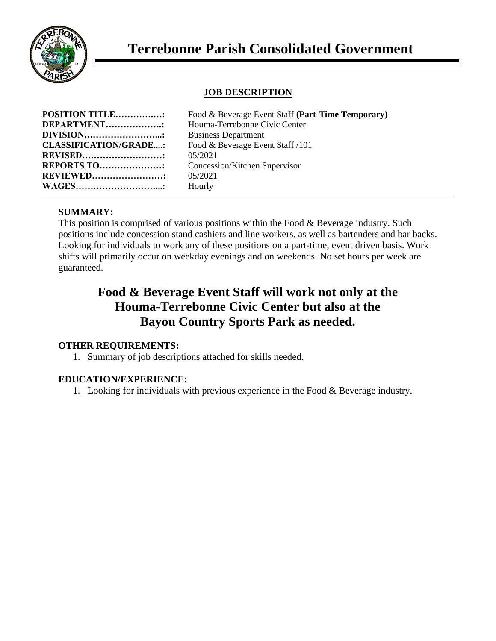

### **JOB DESCRIPTION**

| <b>POSITION TITLE:</b><br>Food & Beverage Event Staff (Part-Time Temporary) |  |
|-----------------------------------------------------------------------------|--|
| <b>DEPARTMENT:</b><br>Houma-Terrebonne Civic Center                         |  |
| <b>DIVISION</b> .<br><b>Business Department</b>                             |  |
| <b>CLASSIFICATION/GRADE:</b><br>Food & Beverage Event Staff /101            |  |
| <b>REVISED</b><br>05/2021                                                   |  |
| <b>REPORTS TO:</b><br>Concession/Kitchen Supervisor                         |  |
| <b>REVIEWED:</b><br>05/2021                                                 |  |
| <b>WAGES</b> .<br>Hourly                                                    |  |

### **SUMMARY:**

This position is comprised of various positions within the Food & Beverage industry. Such positions include concession stand cashiers and line workers, as well as bartenders and bar backs. Looking for individuals to work any of these positions on a part-time, event driven basis. Work shifts will primarily occur on weekday evenings and on weekends. No set hours per week are guaranteed.

# **Food & Beverage Event Staff will work not only at the Houma-Terrebonne Civic Center but also at the Bayou Country Sports Park as needed.**

### **OTHER REQUIREMENTS:**

1. Summary of job descriptions attached for skills needed.

### **EDUCATION/EXPERIENCE:**

1. Looking for individuals with previous experience in the Food & Beverage industry.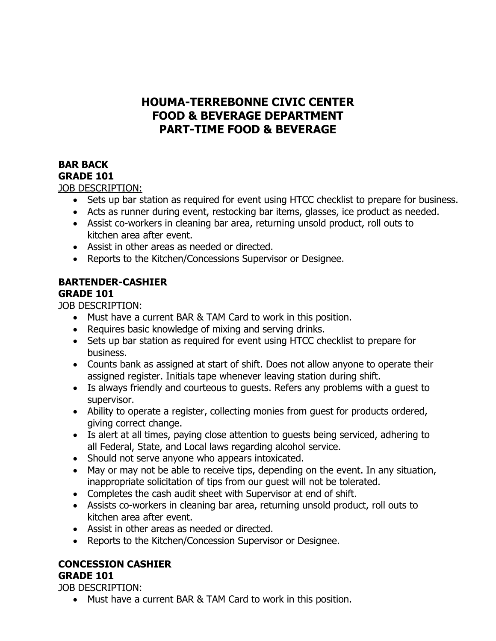# **HOUMA-TERREBONNE CIVIC CENTER FOOD & BEVERAGE DEPARTMENT PART-TIME FOOD & BEVERAGE**

### **BAR BACK GRADE 101**

JOB DESCRIPTION:

- Sets up bar station as required for event using HTCC checklist to prepare for business.
- Acts as runner during event, restocking bar items, glasses, ice product as needed.
- Assist co-workers in cleaning bar area, returning unsold product, roll outs to kitchen area after event.
- Assist in other areas as needed or directed.
- Reports to the Kitchen/Concessions Supervisor or Designee.

# **BARTENDER-CASHIER**

# **GRADE 101**

JOB DESCRIPTION:

- Must have a current BAR & TAM Card to work in this position.
- Requires basic knowledge of mixing and serving drinks.
- Sets up bar station as required for event using HTCC checklist to prepare for business.
- Counts bank as assigned at start of shift. Does not allow anyone to operate their assigned register. Initials tape whenever leaving station during shift.
- Is always friendly and courteous to guests. Refers any problems with a guest to supervisor.
- Ability to operate a register, collecting monies from guest for products ordered, giving correct change.
- Is alert at all times, paying close attention to guests being serviced, adhering to all Federal, State, and Local laws regarding alcohol service.
- Should not serve anyone who appears intoxicated.
- May or may not be able to receive tips, depending on the event. In any situation, inappropriate solicitation of tips from our guest will not be tolerated.
- Completes the cash audit sheet with Supervisor at end of shift.
- Assists co-workers in cleaning bar area, returning unsold product, roll outs to kitchen area after event.
- Assist in other areas as needed or directed.
- Reports to the Kitchen/Concession Supervisor or Designee.

# **CONCESSION CASHIER**

### **GRADE 101**

JOB DESCRIPTION:

• Must have a current BAR & TAM Card to work in this position.